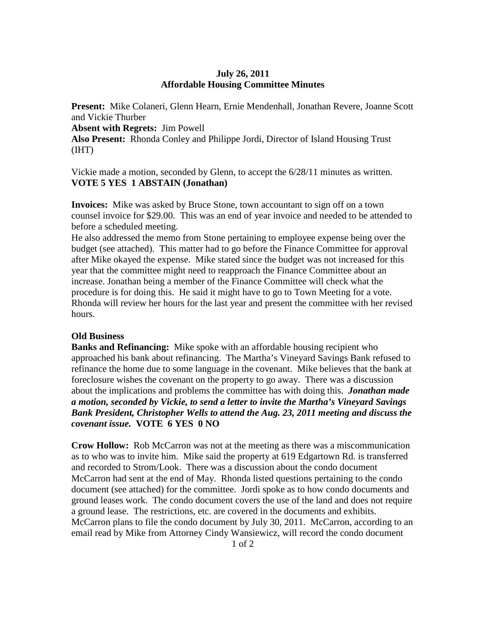## **July 26, 2011 Affordable Housing Committee Minutes**

**Present:** Mike Colaneri, Glenn Hearn, Ernie Mendenhall, Jonathan Revere, Joanne Scott and Vickie Thurber

**Absent with Regrets:** Jim Powell

**Also Present:** Rhonda Conley and Philippe Jordi, Director of Island Housing Trust (IHT)

Vickie made a motion, seconded by Glenn, to accept the 6/28/11 minutes as written. **VOTE 5 YES 1 ABSTAIN (Jonathan)** 

**Invoices:** Mike was asked by Bruce Stone, town accountant to sign off on a town counsel invoice for \$29.00. This was an end of year invoice and needed to be attended to before a scheduled meeting.

He also addressed the memo from Stone pertaining to employee expense being over the budget (see attached). This matter had to go before the Finance Committee for approval after Mike okayed the expense. Mike stated since the budget was not increased for this year that the committee might need to reapproach the Finance Committee about an increase. Jonathan being a member of the Finance Committee will check what the procedure is for doing this. He said it might have to go to Town Meeting for a vote. Rhonda will review her hours for the last year and present the committee with her revised hours.

## **Old Business**

**Banks and Refinancing:** Mike spoke with an affordable housing recipient who approached his bank about refinancing. The Martha's Vineyard Savings Bank refused to refinance the home due to some language in the covenant. Mike believes that the bank at foreclosure wishes the covenant on the property to go away. There was a discussion about the implications and problems the committee has with doing this. *Jonathan made a motion, seconded by Vickie, to send a letter to invite the Martha's Vineyard Savings Bank President, Christopher Wells to attend the Aug. 23, 2011 meeting and discuss the covenant issue.* **VOTE 6 YES 0 NO** 

**Crow Hollow:** Rob McCarron was not at the meeting as there was a miscommunication as to who was to invite him. Mike said the property at 619 Edgartown Rd. is transferred and recorded to Strom/Look. There was a discussion about the condo document McCarron had sent at the end of May. Rhonda listed questions pertaining to the condo document (see attached) for the committee. Jordi spoke as to how condo documents and ground leases work. The condo document covers the use of the land and does not require a ground lease. The restrictions, etc. are covered in the documents and exhibits. McCarron plans to file the condo document by July 30, 2011. McCarron, according to an email read by Mike from Attorney Cindy Wansiewicz, will record the condo document